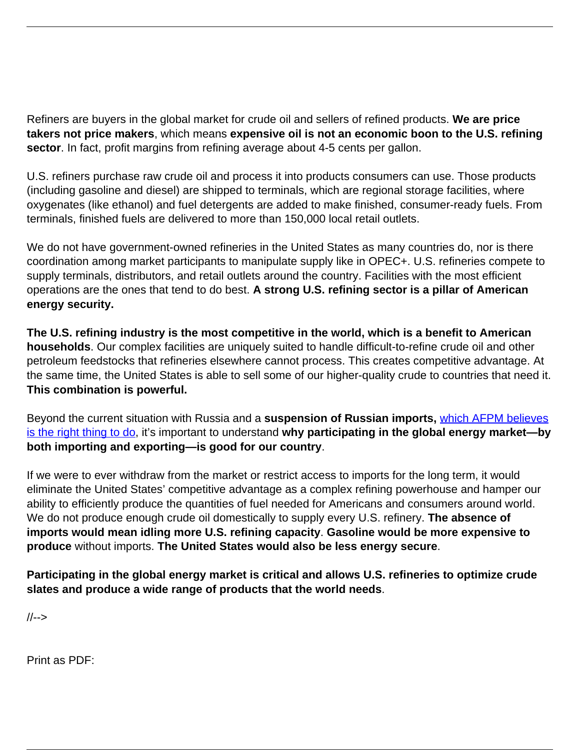Refiners are buyers in the global market for crude oil and sellers of refined products. **We are price takers not price makers**, which means **expensive oil is not an economic boon to the U.S. refining sector**. In fact, profit margins from refining average about 4-5 cents per gallon.

U.S. refiners purchase raw crude oil and process it into products consumers can use. Those products (including gasoline and diesel) are shipped to terminals, which are regional storage facilities, where oxygenates (like ethanol) and fuel detergents are added to make finished, consumer-ready fuels. From terminals, finished fuels are delivered to more than 150,000 local retail outlets.

We do not have government-owned refineries in the United States as many countries do, nor is there coordination among market participants to manipulate supply like in OPEC+. U.S. refineries compete to supply terminals, distributors, and retail outlets around the country. Facilities with the most efficient operations are the ones that tend to do best. **A strong U.S. refining sector is a pillar of American energy security.**

**The U.S. refining industry is the most competitive in the world, which is a benefit to American households**. Our complex facilities are uniquely suited to handle difficult-to-refine crude oil and other petroleum feedstocks that refineries elsewhere cannot process. This creates competitive advantage. At the same time, the United States is able to sell some of our higher-quality crude to countries that need it. **This combination is powerful.**

Beyond the current situation with Russia and a **suspension of Russian imports,** [which AFPM believes](https://www.afpm.org/newsroom/news/afpm-backs-suspension-russian-petroleum-imports) [is the right thing to do](https://www.afpm.org/newsroom/news/afpm-backs-suspension-russian-petroleum-imports), it's important to understand **why participating in the global energy market—by both importing and exporting—is good for our country**.

If we were to ever withdraw from the market or restrict access to imports for the long term, it would eliminate the United States' competitive advantage as a complex refining powerhouse and hamper our ability to efficiently produce the quantities of fuel needed for Americans and consumers around world. We do not produce enough crude oil domestically to supply every U.S. refinery. **The absence of imports would mean idling more U.S. refining capacity**. **Gasoline would be more expensive to produce** without imports. **The United States would also be less energy secure**.

**Participating in the global energy market is critical and allows U.S. refineries to optimize crude slates and produce a wide range of products that the world needs**.

//-->

Print as PDF: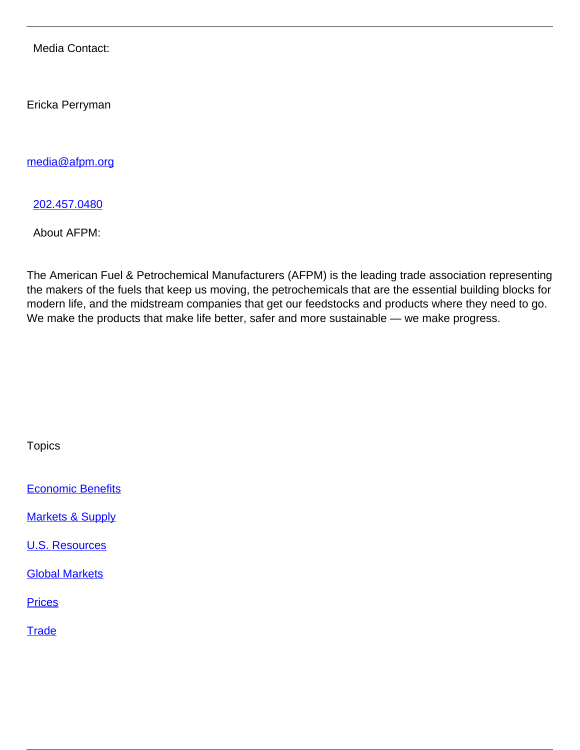Media Contact:

Ericka Perryman

[media@afpm.org](mailto:media@afpm.org)

[202.457.0480](tel:202.457.0480)

About AFPM:

The American Fuel & Petrochemical Manufacturers (AFPM) is the leading trade association representing the makers of the fuels that keep us moving, the petrochemicals that are the essential building blocks for modern life, and the midstream companies that get our feedstocks and products where they need to go. We make the products that make life better, safer and more sustainable — we make progress.

**Topics** 

**[Economic Benefits](/topic/economic-benefits)** 

**[Markets & Supply](/topic/markets-supply)** 

[U.S. Resources](/topic/us-resources)

[Global Markets](/topic/global-markets)

**[Prices](/topic/prices)** 

**[Trade](/topic/trade)**